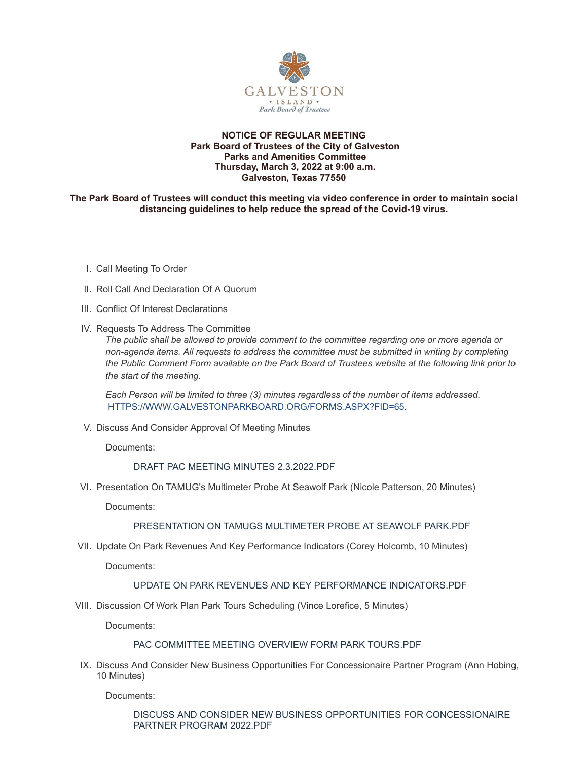

### **NOTICE OF REGULAR MEETING Park Board of Trustees of the City of Galveston Parks and Amenities Committee Thursday, March 3, 2022 at 9:00 a.m. Galveston, Texas 77550**

### **The Park Board of Trustees will conduct this meeting via video conference in order to maintain social distancing guidelines to help reduce the spread of the Covid-19 virus.**

- I. Call Meeting To Order
- II. Roll Call And Declaration Of A Quorum
- III. Conflict Of Interest Declarations
- IV. Requests To Address The Committee

*The public shall be allowed to provide comment to the committee regarding one or more agenda or non-agenda items. All requests to address the committee must be submitted in writing by completing the Public Comment Form available on the Park Board of Trustees website at the following link prior to the start of the meeting.*

*Each Person will be limited to three (3) minutes regardless of the number of items addressed.* [HTTPS://WWW.GALVESTONPARKBOARD.ORG/FORMS.ASPX?FID=65](https://www.galvestonparkboard.org/forms.aspx?FID=65)*.*

V. Discuss And Consider Approval Of Meeting Minutes

Documents:

## DRAFT PAC MEETING MINUTES [2.3.2022.PDF](https://www.galvestonparkboard.org/AgendaCenter/ViewFile/Item/7242?fileID=10908)

VI. Presentation On TAMUG's Multimeter Probe At Seawolf Park (Nicole Patterson, 20 Minutes)

Documents:

# [PRESENTATION](https://www.galvestonparkboard.org/AgendaCenter/ViewFile/Item/7407?fileID=10890) ON TAMUGS MULTIMETER PROBE AT SEAWOLF PARK.PDF

VII. Update On Park Revenues And Key Performance Indicators (Corey Holcomb, 10 Minutes)

Documents:

## UPDATE ON PARK REVENUES AND KEY PERFORMANCE [INDICATORS.PDF](https://www.galvestonparkboard.org/AgendaCenter/ViewFile/Item/7401?fileID=10884)

VIII. Discussion Of Work Plan Park Tours Scheduling (Vince Lorefice, 5 Minutes)

Documents:

#### PAC [COMMITTEE](https://www.galvestonparkboard.org/AgendaCenter/ViewFile/Item/7403?fileID=10882) MEETING OVERVIEW FORM PARK TOURS.PDF

IX. Discuss And Consider New Business Opportunities For Concessionaire Partner Program (Ann Hobing, 10 Minutes)

Documents:

DISCUSS AND CONSIDER NEW BUSINESS OPPORTUNITIES FOR [CONCESSIONAIRE](https://www.galvestonparkboard.org/AgendaCenter/ViewFile/Item/7402?fileID=10881) PARTNER PROGRAM 2022.PDF